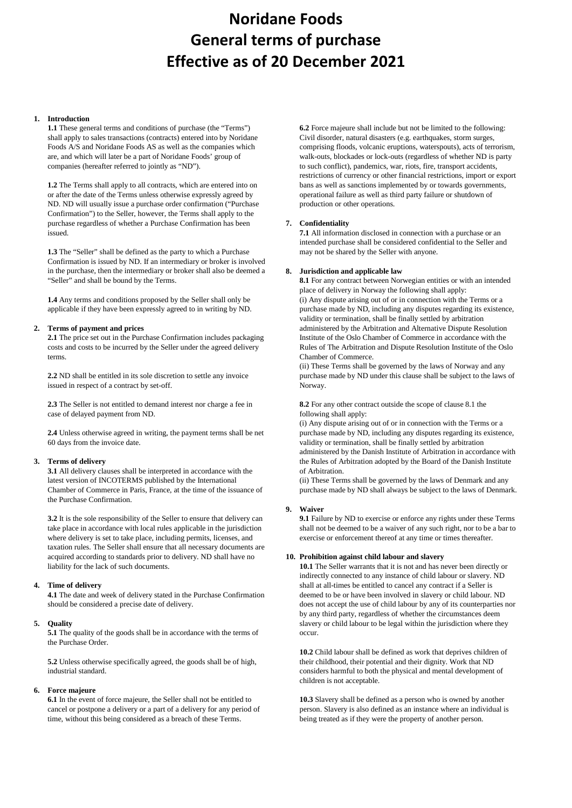# **Noridane Foods General terms of purchase Effective as of 20 December 2021**

### **1. Introduction**

**1.1** These general terms and conditions of purchase (the "Terms") shall apply to sales transactions (contracts) entered into by Noridane Foods A/S and Noridane Foods AS as well as the companies which are, and which will later be a part of Noridane Foods' group of companies (hereafter referred to jointly as "ND").

**1.2** The Terms shall apply to all contracts, which are entered into on or after the date of the Terms unless otherwise expressly agreed by ND. ND will usually issue a purchase order confirmation ("Purchase Confirmation") to the Seller, however, the Terms shall apply to the purchase regardless of whether a Purchase Confirmation has been issued.

**1.3** The "Seller" shall be defined as the party to which a Purchase Confirmation is issued by ND. If an intermediary or broker is involved in the purchase, then the intermediary or broker shall also be deemed a "Seller" and shall be bound by the Terms.

**1.4** Any terms and conditions proposed by the Seller shall only be applicable if they have been expressly agreed to in writing by ND.

### **2. Terms of payment and prices**

**2.1** The price set out in the Purchase Confirmation includes packaging costs and costs to be incurred by the Seller under the agreed delivery terms.

**2.2** ND shall be entitled in its sole discretion to settle any invoice issued in respect of a contract by set-off.

**2.3** The Seller is not entitled to demand interest nor charge a fee in case of delayed payment from ND.

**2.4** Unless otherwise agreed in writing, the payment terms shall be net 60 days from the invoice date.

# **3. Terms of delivery**

**3.1** All delivery clauses shall be interpreted in accordance with the latest version of INCOTERMS published by the International Chamber of Commerce in Paris, France, at the time of the issuance of the Purchase Confirmation.

**3.2** It is the sole responsibility of the Seller to ensure that delivery can take place in accordance with local rules applicable in the jurisdiction where delivery is set to take place, including permits, licenses, and taxation rules. The Seller shall ensure that all necessary documents are acquired according to standards prior to delivery. ND shall have no liability for the lack of such documents.

# **4. Time of delivery**

**4.1** The date and week of delivery stated in the Purchase Confirmation should be considered a precise date of delivery.

# **5. Quality**

**5.1** The quality of the goods shall be in accordance with the terms of the Purchase Order.

**5.2** Unless otherwise specifically agreed, the goods shall be of high, industrial standard.

# **6. Force majeure**

**6.1** In the event of force majeure, the Seller shall not be entitled to cancel or postpone a delivery or a part of a delivery for any period of time, without this being considered as a breach of these Terms.

**6.2** Force majeure shall include but not be limited to the following: Civil disorder, natural disasters (e.g. earthquakes, storm surges, comprising floods, volcanic eruptions, waterspouts), acts of terrorism, walk-outs, blockades or lock-outs (regardless of whether ND is party to such conflict), pandemics, war, riots, fire, transport accidents, restrictions of currency or other financial restrictions, import or export bans as well as sanctions implemented by or towards governments, operational failure as well as third party failure or shutdown of production or other operations.

# **7. Confidentiality**

**7.1** All information disclosed in connection with a purchase or an intended purchase shall be considered confidential to the Seller and may not be shared by the Seller with anyone.

### **8. Jurisdiction and applicable law**

**8.1** For any contract between Norwegian entities or with an intended place of delivery in Norway the following shall apply: (i) Any dispute arising out of or in connection with the Terms or a purchase made by ND, including any disputes regarding its existence, validity or termination, shall be finally settled by arbitration administered by the Arbitration and Alternative Dispute Resolution Institute of the Oslo Chamber of Commerce in accordance with the Rules of The Arbitration and Dispute Resolution Institute of the Oslo Chamber of Commerce.

(ii) These Terms shall be governed by the laws of Norway and any purchase made by ND under this clause shall be subject to the laws of Norway.

**8.2** For any other contract outside the scope of clause 8.1 the following shall apply:

(i) Any dispute arising out of or in connection with the Terms or a purchase made by ND, including any disputes regarding its existence, validity or termination, shall be finally settled by arbitration administered by the Danish Institute of Arbitration in accordance with the Rules of Arbitration adopted by the Board of the Danish Institute of Arbitration.

(ii) These Terms shall be governed by the laws of Denmark and any purchase made by ND shall always be subject to the laws of Denmark.

# **9. Waiver**

**9.1** Failure by ND to exercise or enforce any rights under these Terms shall not be deemed to be a waiver of any such right, nor to be a bar to exercise or enforcement thereof at any time or times thereafter.

#### **10. Prohibition against child labour and slavery**

**10.1** The Seller warrants that it is not and has never been directly or indirectly connected to any instance of child labour or slavery. ND shall at all-times be entitled to cancel any contract if a Seller is deemed to be or have been involved in slavery or child labour. ND does not accept the use of child labour by any of its counterparties nor by any third party, regardless of whether the circumstances deem slavery or child labour to be legal within the jurisdiction where they occur.

**10.2** Child labour shall be defined as work that deprives children of their childhood, their potential and their dignity. Work that ND considers harmful to both the physical and mental development of children is not acceptable.

**10.3** Slavery shall be defined as a person who is owned by another person. Slavery is also defined as an instance where an individual is being treated as if they were the property of another person.